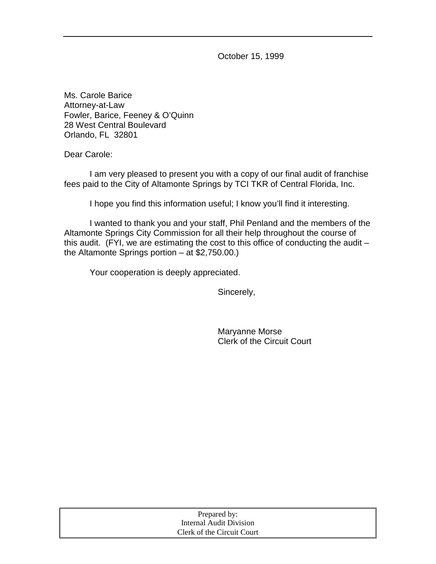October 15, 1999

Ms. Carole Barice Attorney-at-Law Fowler, Barice, Feeney & O'Quinn 28 West Central Boulevard Orlando, FL 32801

Dear Carole:

 I am very pleased to present you with a copy of our final audit of franchise fees paid to the City of Altamonte Springs by TCI TKR of Central Florida, Inc.

I hope you find this information useful; I know you'll find it interesting.

 I wanted to thank you and your staff, Phil Penland and the members of the Altamonte Springs City Commission for all their help throughout the course of this audit. (FYI, we are estimating the cost to this office of conducting the audit  $$ the Altamonte Springs portion – at \$2,750.00.)

Your cooperation is deeply appreciated.

Sincerely,

 Maryanne Morse Clerk of the Circuit Court

| Prepared by:               |  |
|----------------------------|--|
| Internal Audit Division    |  |
| Clerk of the Circuit Court |  |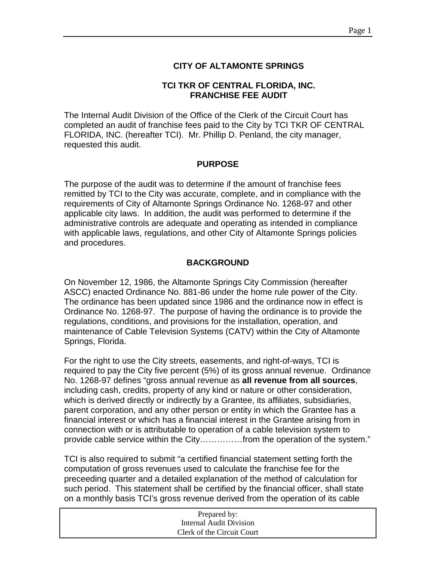## **CITY OF ALTAMONTE SPRINGS**

#### **TCI TKR OF CENTRAL FLORIDA, INC. FRANCHISE FEE AUDIT**

The Internal Audit Division of the Office of the Clerk of the Circuit Court has completed an audit of franchise fees paid to the City by TCI TKR OF CENTRAL FLORIDA, INC. (hereafter TCI). Mr. Phillip D. Penland, the city manager, requested this audit.

#### **PURPOSE**

The purpose of the audit was to determine if the amount of franchise fees remitted by TCI to the City was accurate, complete, and in compliance with the requirements of City of Altamonte Springs Ordinance No. 1268-97 and other applicable city laws. In addition, the audit was performed to determine if the administrative controls are adequate and operating as intended in compliance with applicable laws, regulations, and other City of Altamonte Springs policies and procedures.

#### **BACKGROUND**

On November 12, 1986, the Altamonte Springs City Commission (hereafter ASCC) enacted Ordinance No. 881-86 under the home rule power of the City. The ordinance has been updated since 1986 and the ordinance now in effect is Ordinance No. 1268-97. The purpose of having the ordinance is to provide the regulations, conditions, and provisions for the installation, operation, and maintenance of Cable Television Systems (CATV) within the City of Altamonte Springs, Florida.

For the right to use the City streets, easements, and right-of-ways, TCI is required to pay the City five percent (5%) of its gross annual revenue. Ordinance No. 1268-97 defines "gross annual revenue as **all revenue from all sources**, including cash, credits, property of any kind or nature or other consideration, which is derived directly or indirectly by a Grantee, its affiliates, subsidiaries, parent corporation, and any other person or entity in which the Grantee has a financial interest or which has a financial interest in the Grantee arising from in connection with or is attributable to operation of a cable television system to provide cable service within the City……………from the operation of the system."

TCI is also required to submit "a certified financial statement setting forth the computation of gross revenues used to calculate the franchise fee for the preceeding quarter and a detailed explanation of the method of calculation for such period. This statement shall be certified by the financial officer, shall state on a monthly basis TCI's gross revenue derived from the operation of its cable

| Prepared by:               |  |
|----------------------------|--|
| Internal Audit Division    |  |
| Clerk of the Circuit Court |  |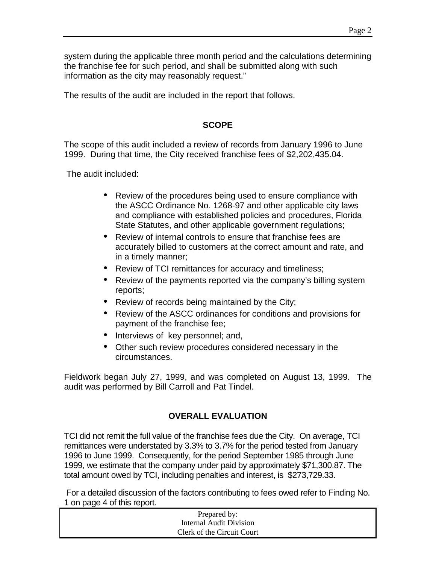system during the applicable three month period and the calculations determining the franchise fee for such period, and shall be submitted along with such information as the city may reasonably request."

The results of the audit are included in the report that follows.

## **SCOPE**

The scope of this audit included a review of records from January 1996 to June 1999. During that time, the City received franchise fees of \$2,202,435.04.

The audit included:

- Review of the procedures being used to ensure compliance with the ASCC Ordinance No. 1268-97 and other applicable city laws and compliance with established policies and procedures, Florida State Statutes, and other applicable government regulations;
- Review of internal controls to ensure that franchise fees are accurately billed to customers at the correct amount and rate, and in a timely manner;
- Review of TCI remittances for accuracy and timeliness;
- Review of the payments reported via the company's billing system reports;
- Review of records being maintained by the City;
- Review of the ASCC ordinances for conditions and provisions for payment of the franchise fee;
- Interviews of key personnel; and,
- Other such review procedures considered necessary in the circumstances.

Fieldwork began July 27, 1999, and was completed on August 13, 1999. The audit was performed by Bill Carroll and Pat Tindel.

# **OVERALL EVALUATION**

TCI did not remit the full value of the franchise fees due the City. On average, TCI remittances were understated by 3.3% to 3.7% for the period tested from January 1996 to June 1999. Consequently, for the period September 1985 through June 1999, we estimate that the company under paid by approximately \$71,300.87. The total amount owed by TCI, including penalties and interest, is \$273,729.33.

 For a detailed discussion of the factors contributing to fees owed refer to Finding No. 1 on page 4 of this report.

| Prepared by:               |  |
|----------------------------|--|
| Internal Audit Division    |  |
| Clerk of the Circuit Court |  |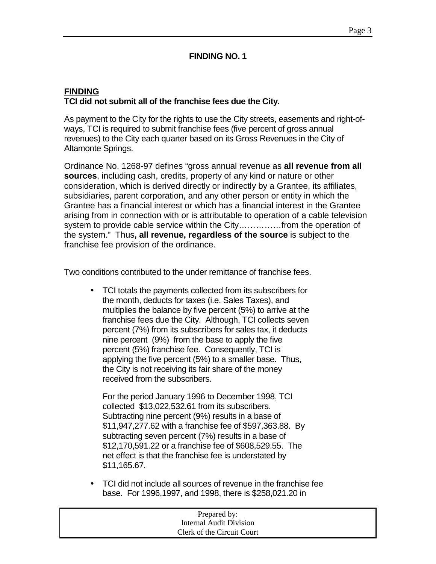#### **FINDING NO. 1**

# **FINDING TCI did not submit all of the franchise fees due the City.**

As payment to the City for the rights to use the City streets, easements and right-ofways, TCI is required to submit franchise fees (five percent of gross annual revenues) to the City each quarter based on its Gross Revenues in the City of Altamonte Springs.

Ordinance No. 1268-97 defines "gross annual revenue as **all revenue from all sources**, including cash, credits, property of any kind or nature or other consideration, which is derived directly or indirectly by a Grantee, its affiliates, subsidiaries, parent corporation, and any other person or entity in which the Grantee has a financial interest or which has a financial interest in the Grantee arising from in connection with or is attributable to operation of a cable television system to provide cable service within the City……………from the operation of the system." Thus**, all revenue, regardless of the source** is subject to the franchise fee provision of the ordinance.

Two conditions contributed to the under remittance of franchise fees.

• TCI totals the payments collected from its subscribers for the month, deducts for taxes (i.e. Sales Taxes), and multiplies the balance by five percent (5%) to arrive at the franchise fees due the City. Although, TCI collects seven percent (7%) from its subscribers for sales tax, it deducts nine percent (9%) from the base to apply the five percent (5%) franchise fee. Consequently, TCI is applying the five percent (5%) to a smaller base. Thus, the City is not receiving its fair share of the money received from the subscribers.

 For the period January 1996 to December 1998, TCI collected \$13,022,532.61 from its subscribers. Subtracting nine percent (9%) results in a base of \$11,947,277.62 with a franchise fee of \$597,363.88. By subtracting seven percent (7%) results in a base of \$12,170,591.22 or a franchise fee of \$608,529.55. The net effect is that the franchise fee is understated by \$11,165.67.

• TCI did not include all sources of revenue in the franchise fee base. For 1996,1997, and 1998, there is \$258,021.20 in

| Prepared by:               |  |
|----------------------------|--|
| Internal Audit Division    |  |
| Clerk of the Circuit Court |  |